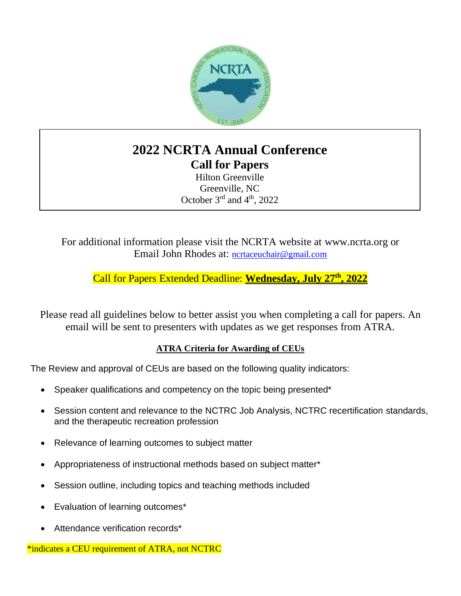

## **2022 NCRTA Annual Conference Call for Papers**

Hilton Greenville Greenville, NC October  $3<sup>rd</sup>$  and  $4<sup>th</sup>$ , 2022

For additional information please visit the NCRTA website at [www.ncrta.org](http://www.ncrta.org/) or Email John Rhodes at: [ncrtaceuchair@gmail.com](mailto:ncrtaceuchair@gmail.com)

Call for Papers Extended Deadline: **Wednesday, July 27th , 2022**

Please read all guidelines below to better assist you when completing a call for papers. An email will be sent to presenters with updates as we get responses from ATRA.

#### **ATRA Criteria for Awarding of CEUs**

The Review and approval of CEUs are based on the following quality indicators:

- Speaker qualifications and competency on the topic being presented\*
- Session content and relevance to the NCTRC Job Analysis, NCTRC recertification standards, and the therapeutic recreation profession
- Relevance of learning outcomes to subject matter
- Appropriateness of instructional methods based on subject matter\*
- Session outline, including topics and teaching methods included
- Evaluation of learning outcomes\*
- Attendance verification records\*

\*indicates a CEU requirement of ATRA, not NCTRC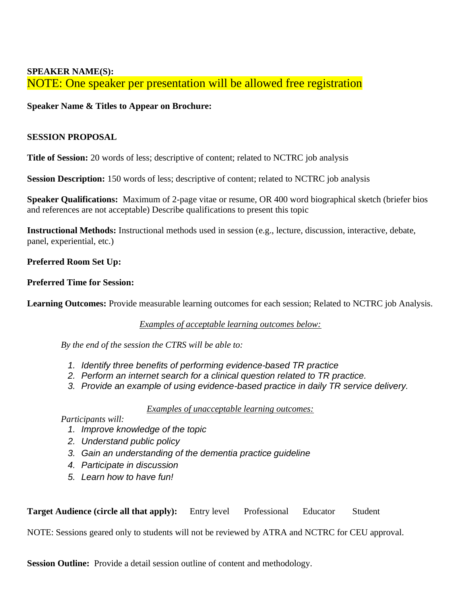#### **SPEAKER NAME(S):** NOTE: One speaker per presentation will be allowed free registration

#### **Speaker Name & Titles to Appear on Brochure:**

#### **SESSION PROPOSAL**

**Title of Session:** 20 words of less; descriptive of content; related to NCTRC job analysis

**Session Description:** 150 words of less; descriptive of content; related to NCTRC job analysis

**Speaker Qualifications:** Maximum of 2-page vitae or resume, OR 400 word biographical sketch (briefer bios and references are not acceptable) Describe qualifications to present this topic

**Instructional Methods:** Instructional methods used in session (e.g., lecture, discussion, interactive, debate, panel, experiential, etc.)

#### **Preferred Room Set Up:**

#### **Preferred Time for Session:**

**Learning Outcomes:** Provide measurable learning outcomes for each session; Related to NCTRC job Analysis.

### *Examples of acceptable learning outcomes below:*

*By the end of the session the CTRS will be able to:*

- *1. Identify three benefits of performing evidence-based TR practice*
- *2. Perform an internet search for a clinical question related to TR practice.*
- *3. Provide an example of using evidence-based practice in daily TR service delivery.*

*Examples of unacceptable learning outcomes:*

### *Participants will:*

- *1. Improve knowledge of the topic*
- *2. Understand public policy*
- *3. Gain an understanding of the dementia practice guideline*
- *4. Participate in discussion*
- *5. Learn how to have fun!*

| <b>Target Audience (circle all that apply):</b> Entry level Professional Educator |  |  |  | Student |
|-----------------------------------------------------------------------------------|--|--|--|---------|
|-----------------------------------------------------------------------------------|--|--|--|---------|

NOTE: Sessions geared only to students will not be reviewed by ATRA and NCTRC for CEU approval.

**Session Outline:** Provide a detail session outline of content and methodology.